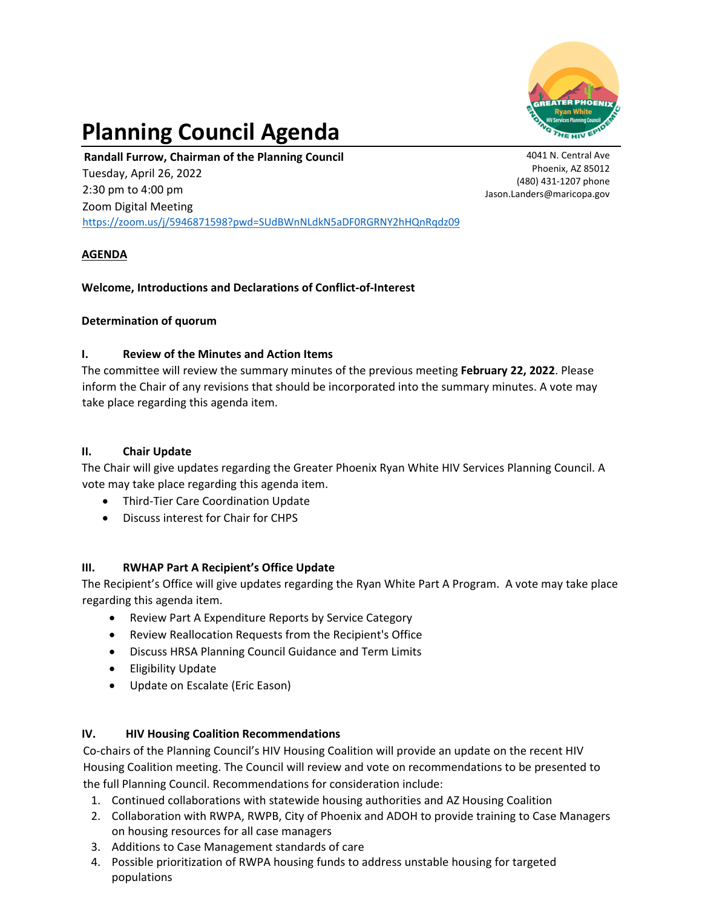

# **Planning Council Agenda**

**Randall Furrow, Chairman of the Planning Council** Tuesday, April 26, 2022 2:30 pm to 4:00 pm Zoom Digital Meeting https://zoom.us/j/5946871598?pwd=SUdBWnNLdkN5aDF0RGRNY2hHQnRqdz09

4041 N. Central Ave Phoenix, AZ 85012 (480) 431‐1207 phone Jason.Landers@maricopa.gov

# **AGENDA**

**Welcome, Introductions and Declarations of Conflict‐of‐Interest**

### **Determination of quorum**

### **I. Review of the Minutes and Action Items**

The committee will review the summary minutes of the previous meeting **February 22, 2022**. Please inform the Chair of any revisions that should be incorporated into the summary minutes. A vote may take place regarding this agenda item.

### **II. Chair Update**

The Chair will give updates regarding the Greater Phoenix Ryan White HIV Services Planning Council. A vote may take place regarding this agenda item.

- Third-Tier Care Coordination Update
- Discuss interest for Chair for CHPS

#### **III. RWHAP Part A Recipient's Office Update**

The Recipient's Office will give updates regarding the Ryan White Part A Program. A vote may take place regarding this agenda item.

- Review Part A Expenditure Reports by Service Category
- Review Reallocation Requests from the Recipient's Office
- Discuss HRSA Planning Council Guidance and Term Limits
- Eligibility Update
- Update on Escalate (Eric Eason)

## **IV. HIV Housing Coalition Recommendations**

Co‐chairs of the Planning Council's HIV Housing Coalition will provide an update on the recent HIV Housing Coalition meeting. The Council will review and vote on recommendations to be presented to the full Planning Council. Recommendations for consideration include:

- 1. Continued collaborations with statewide housing authorities and AZ Housing Coalition
- 2. Collaboration with RWPA, RWPB, City of Phoenix and ADOH to provide training to Case Managers on housing resources for all case managers
- 3. Additions to Case Management standards of care
- 4. Possible prioritization of RWPA housing funds to address unstable housing for targeted populations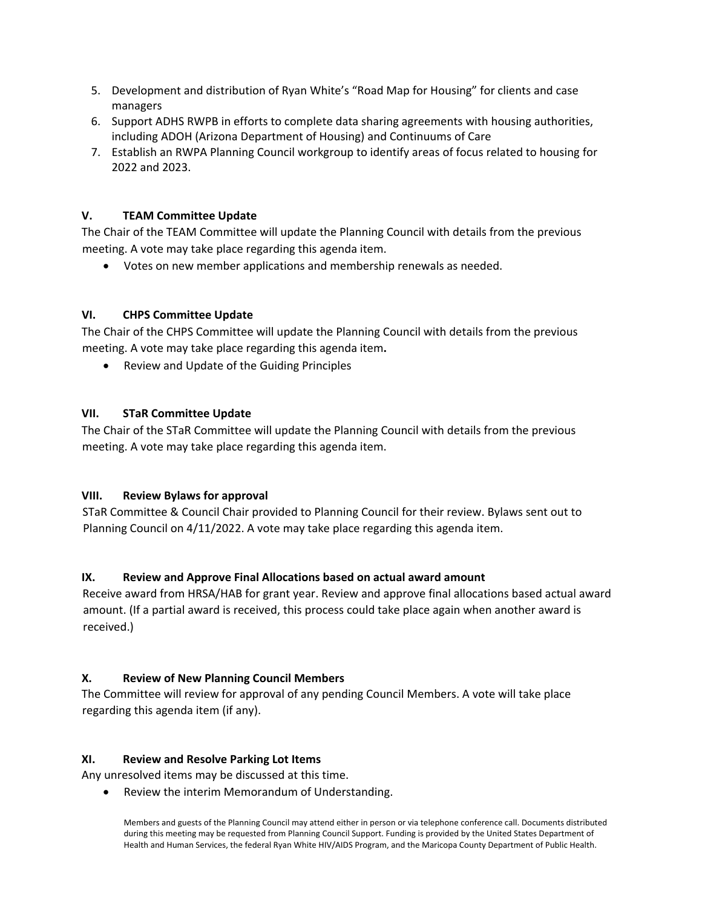- 5. Development and distribution of Ryan White's "Road Map for Housing" for clients and case managers
- 6. Support ADHS RWPB in efforts to complete data sharing agreements with housing authorities, including ADOH (Arizona Department of Housing) and Continuums of Care
- 7. Establish an RWPA Planning Council workgroup to identify areas of focus related to housing for 2022 and 2023.

# **V. TEAM Committee Update**

The Chair of the TEAM Committee will update the Planning Council with details from the previous meeting. A vote may take place regarding this agenda item.

Votes on new member applications and membership renewals as needed.

# **VI. CHPS Committee Update**

The Chair of the CHPS Committee will update the Planning Council with details from the previous meeting. A vote may take place regarding this agenda item**.**

• Review and Update of the Guiding Principles

# **VII. STaR Committee Update**

The Chair of the STaR Committee will update the Planning Council with details from the previous meeting. A vote may take place regarding this agenda item.

## **VIII. Review Bylaws for approval**

STaR Committee & Council Chair provided to Planning Council for their review. Bylaws sent out to Planning Council on 4/11/2022. A vote may take place regarding this agenda item.

# **IX. Review and Approve Final Allocations based on actual award amount**

Receive award from HRSA/HAB for grant year. Review and approve final allocations based actual award amount. (If a partial award is received, this process could take place again when another award is received.)

## **X. Review of New Planning Council Members**

The Committee will review for approval of any pending Council Members. A vote will take place regarding this agenda item (if any).

## **XI. Review and Resolve Parking Lot Items**

Any unresolved items may be discussed at this time.

Review the interim Memorandum of Understanding.

Members and guests of the Planning Council may attend either in person or via telephone conference call. Documents distributed during this meeting may be requested from Planning Council Support. Funding is provided by the United States Department of Health and Human Services, the federal Ryan White HIV/AIDS Program, and the Maricopa County Department of Public Health.